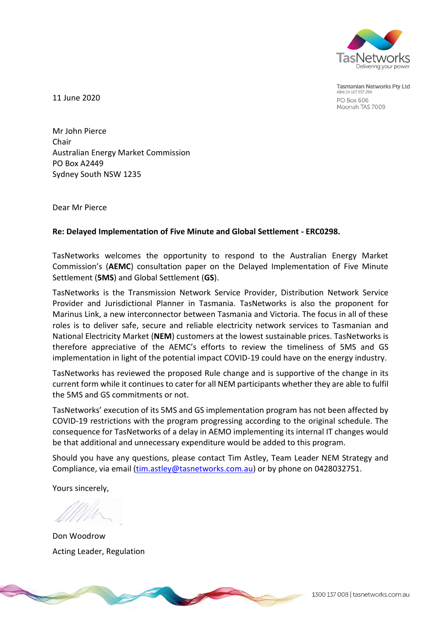

**Tasmanian Networks Pty Ltd** ABN 24 167 357 299 **PO Box 606** Moonah TAS 7009

11 June 2020

Mr John Pierce Chair Australian Energy Market Commission PO Box A2449 Sydney South NSW 1235

Dear Mr Pierce

## **Re: Delayed Implementation of Five Minute and Global Settlement - ERC0298.**

TasNetworks welcomes the opportunity to respond to the Australian Energy Market Commission's (**AEMC**) consultation paper on the Delayed Implementation of Five Minute Settlement (**5MS**) and Global Settlement (**GS**).

TasNetworks is the Transmission Network Service Provider, Distribution Network Service Provider and Jurisdictional Planner in Tasmania. TasNetworks is also the proponent for Marinus Link, a new interconnector between Tasmania and Victoria. The focus in all of these roles is to deliver safe, secure and reliable electricity network services to Tasmanian and National Electricity Market (**NEM**) customers at the lowest sustainable prices. TasNetworks is therefore appreciative of the AEMC's efforts to review the timeliness of 5MS and GS implementation in light of the potential impact COVID-19 could have on the energy industry.

TasNetworks has reviewed the proposed Rule change and is supportive of the change in its current form while it continues to cater for all NEM participants whether they are able to fulfil the 5MS and GS commitments or not.

TasNetworks' execution of its 5MS and GS implementation program has not been affected by COVID-19 restrictions with the program progressing according to the original schedule. The consequence for TasNetworks of a delay in AEMO implementing its internal IT changes would be that additional and unnecessary expenditure would be added to this program.

Should you have any questions, please contact Tim Astley, Team Leader NEM Strategy and Compliance, via email [\(tim.astley@tasnetworks.com.au\)](mailto:tim.astley@tasnetworks.com.au) or by phone on 0428032751.

Yours sincerely,

Don Woodrow Acting Leader, Regulation

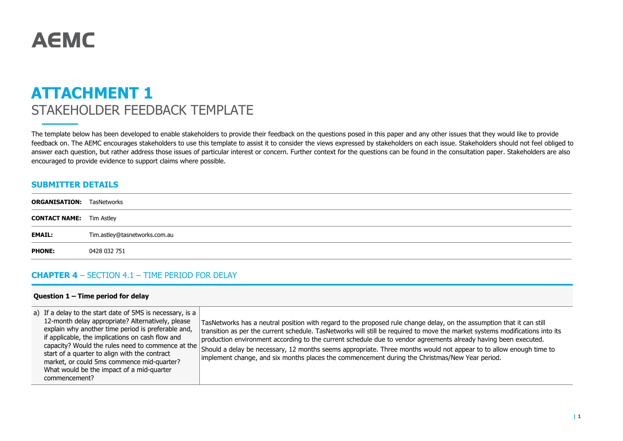# **AEMC**

## **ATTACHMENT 1** STAKEHOLDER FEEDBACK TEMPLATE

The template below has been developed to enable stakeholders to provide their feedback on the questions posed in this paper and any other issues that they would like to provide feedback on. The AEMC encourages stakeholders to use this template to assist it to consider the views expressed by stakeholders on each issue. Stakeholders should not feel obliged to answer each question, but rather address those issues of particular interest or concern. Further context for the questions can be found in the consultation paper. Stakeholders are also encouraged to provide evidence to support claims where possible.

## **SUBMITTER DETAILS**

| <b>ORGANISATION:</b> TasNetworks |                               |
|----------------------------------|-------------------------------|
| <b>CONTACT NAME:</b> Tim Astley  |                               |
| <b>EMAIL:</b>                    | Tim.astley@tasnetworks.com.au |
| <b>PHONE:</b>                    | 0428 032 751                  |
|                                  |                               |

## **CHAPTER 4** – SECTION 4.1 – TIME PERIOD FOR DELAY

#### **Question 1 – Time period for delay**

| a) If a delay to the start date of 5MS is necessary, is a<br>12-month delay appropriate? Alternatively, please<br>explain why another time period is preferable and,<br>if applicable, the implications on cash flow and<br>capacity? Would the rules need to commence at the<br>start of a quarter to align with the contract<br>market, or could 5ms commence mid-quarter?<br>What would be the impact of a mid-quarter<br>commencement? | TasNetworks has a neutral position with regard to the proposed rule change delay, on the assumption that it can still<br>transition as per the current schedule. TasNetworks will still be required to move the market systems modifications into its<br>production environment according to the current schedule due to vendor agreements already having been executed.<br>Should a delay be necessary, 12 months seems appropriate. Three months would not appear to to allow enough time to<br>implement change, and six months places the commencement during the Christmas/New Year period. |
|--------------------------------------------------------------------------------------------------------------------------------------------------------------------------------------------------------------------------------------------------------------------------------------------------------------------------------------------------------------------------------------------------------------------------------------------|--------------------------------------------------------------------------------------------------------------------------------------------------------------------------------------------------------------------------------------------------------------------------------------------------------------------------------------------------------------------------------------------------------------------------------------------------------------------------------------------------------------------------------------------------------------------------------------------------|
|--------------------------------------------------------------------------------------------------------------------------------------------------------------------------------------------------------------------------------------------------------------------------------------------------------------------------------------------------------------------------------------------------------------------------------------------|--------------------------------------------------------------------------------------------------------------------------------------------------------------------------------------------------------------------------------------------------------------------------------------------------------------------------------------------------------------------------------------------------------------------------------------------------------------------------------------------------------------------------------------------------------------------------------------------------|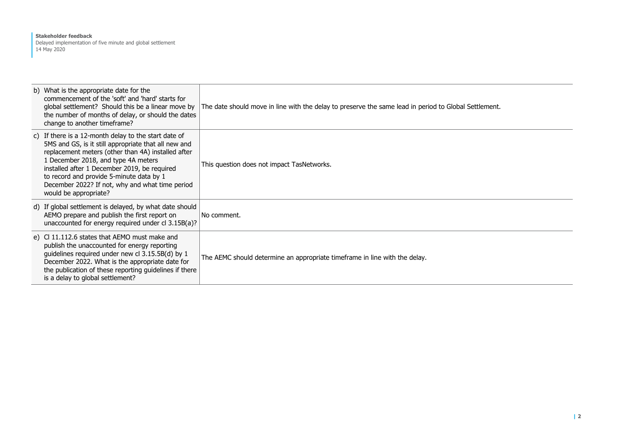#### **Stakeholder feedback** Delayed implementation of five minute and global settlement 14 May 2020

| b) What is the appropriate date for the<br>commencement of the 'soft' and 'hard' starts for<br>global settlement? Should this be a linear move by<br>the number of months of delay, or should the dates<br>change to another timeframe?                                                                                                                                           | The date should move in line with the delay to preserve the same lead in period to Global Settlement. |
|-----------------------------------------------------------------------------------------------------------------------------------------------------------------------------------------------------------------------------------------------------------------------------------------------------------------------------------------------------------------------------------|-------------------------------------------------------------------------------------------------------|
| c) If there is a 12-month delay to the start date of<br>5MS and GS, is it still appropriate that all new and<br>replacement meters (other than 4A) installed after<br>1 December 2018, and type 4A meters<br>installed after 1 December 2019, be required<br>to record and provide 5-minute data by 1<br>December 2022? If not, why and what time period<br>would be appropriate? | This question does not impact TasNetworks.                                                            |
| d) If global settlement is delayed, by what date should<br>AEMO prepare and publish the first report on<br>unaccounted for energy required under cl 3.15B(a)?                                                                                                                                                                                                                     | No comment.                                                                                           |
| e) C 11.112.6 states that AEMO must make and<br>publish the unaccounted for energy reporting<br>guidelines required under new cl 3.15.5B(d) by 1<br>December 2022. What is the appropriate date for<br>the publication of these reporting guidelines if there<br>is a delay to global settlement?                                                                                 | The AEMC should determine an appropriate timeframe in line with the delay.                            |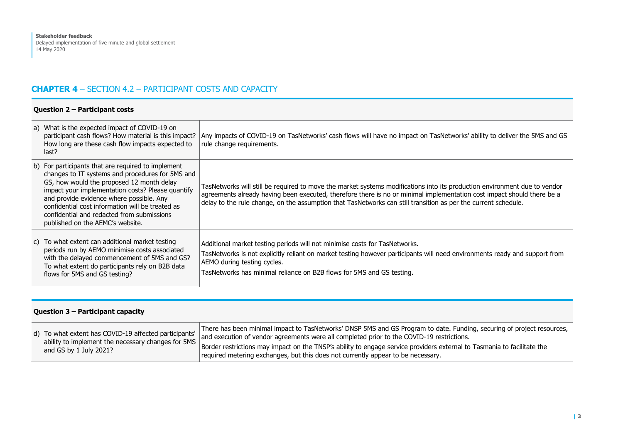## **CHAPTER 4** – SECTION 4.2 – PARTICIPANT COSTS AND CAPACITY

|  |  | Question 2 - Participant costs |  |
|--|--|--------------------------------|--|
|--|--|--------------------------------|--|

|                                                                                                                                                                                                                                                                                                                                                                                            | a) What is the expected impact of COVID-19 on<br>participant cash flows? How material is this impact?<br>How long are these cash flow impacts expected to<br>last?                                                                   | Any impacts of COVID-19 on TasNetworks' cash flows will have no impact on TasNetworks' ability to deliver the 5MS and GS<br>rule change requirements.                                                                                                                                                                                                                 |
|--------------------------------------------------------------------------------------------------------------------------------------------------------------------------------------------------------------------------------------------------------------------------------------------------------------------------------------------------------------------------------------------|--------------------------------------------------------------------------------------------------------------------------------------------------------------------------------------------------------------------------------------|-----------------------------------------------------------------------------------------------------------------------------------------------------------------------------------------------------------------------------------------------------------------------------------------------------------------------------------------------------------------------|
| b) For participants that are required to implement<br>changes to IT systems and procedures for 5MS and<br>GS, how would the proposed 12 month delay<br>impact your implementation costs? Please quantify<br>and provide evidence where possible. Any<br>confidential cost information will be treated as<br>confidential and redacted from submissions<br>published on the AEMC's website. |                                                                                                                                                                                                                                      | TasNetworks will still be required to move the market systems modifications into its production environment due to vendor<br>agreements already having been executed, therefore there is no or minimal implementation cost impact should there be a<br>delay to the rule change, on the assumption that TasNetworks can still transition as per the current schedule. |
|                                                                                                                                                                                                                                                                                                                                                                                            | c) To what extent can additional market testing<br>periods run by AEMO minimise costs associated<br>with the delayed commencement of 5MS and GS?<br>To what extent do participants rely on B2B data<br>flows for 5MS and GS testing? | Additional market testing periods will not minimise costs for TasNetworks.<br>TasNetworks is not explicitly reliant on market testing however participants will need environments ready and support from<br>AEMO during testing cycles.<br>TasNetworks has minimal reliance on B2B flows for 5MS and GS testing.                                                      |

| Question 3 - Participant capacity                                                                                                     |                                                                                                                                                                                                                                                                                                                                                                                                                                    |  |
|---------------------------------------------------------------------------------------------------------------------------------------|------------------------------------------------------------------------------------------------------------------------------------------------------------------------------------------------------------------------------------------------------------------------------------------------------------------------------------------------------------------------------------------------------------------------------------|--|
| d) To what extent has COVID-19 affected participants'<br>ability to implement the necessary changes for 5MS<br>and GS by 1 July 2021? | There has been minimal impact to TasNetworks' DNSP 5MS and GS Program to date. Funding, securing of project resources,<br>and execution of vendor agreements were all completed prior to the COVID-19 restrictions.<br>Border restrictions may impact on the TNSP's ability to engage service providers external to Tasmania to facilitate the<br>required metering exchanges, but this does not currently appear to be necessary. |  |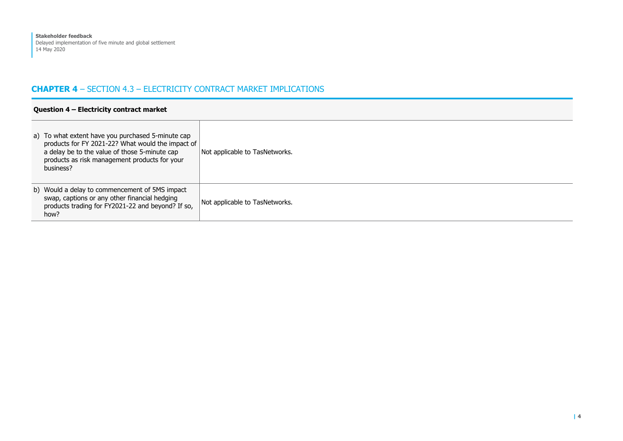## **CHAPTER 4** – SECTION 4.3 – ELECTRICITY CONTRACT MARKET IMPLICATIONS

| Question 4 - Electricity contract market                                                                                                                                                                              |                                |  |
|-----------------------------------------------------------------------------------------------------------------------------------------------------------------------------------------------------------------------|--------------------------------|--|
| a) To what extent have you purchased 5-minute cap<br>products for FY 2021-22? What would the impact of<br>a delay be to the value of those 5-minute cap<br>products as risk management products for your<br>business? | Not applicable to TasNetworks. |  |
| b) Would a delay to commencement of 5MS impact<br>swap, captions or any other financial hedging<br>products trading for FY2021-22 and beyond? If so,<br>how?                                                          | Not applicable to TasNetworks. |  |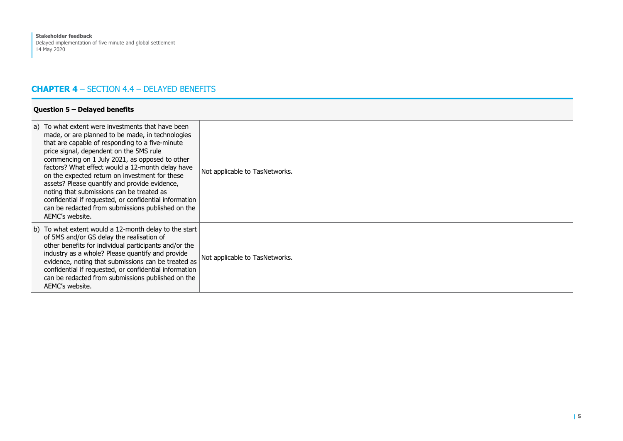## **CHAPTER 4** – SECTION 4.4 – DELAYED BENEFITS

| a) To what extent were investments that have been<br>made, or are planned to be made, in technologies<br>that are capable of responding to a five-minute<br>price signal, dependent on the 5MS rule<br>commencing on 1 July 2021, as opposed to other<br>factors? What effect would a 12-month delay have<br>on the expected return on investment for these<br>assets? Please quantify and provide evidence,<br>noting that submissions can be treated as<br>confidential if requested, or confidential information<br>can be redacted from submissions published on the<br>AEMC's website. | Not applicable to TasNetworks. |
|---------------------------------------------------------------------------------------------------------------------------------------------------------------------------------------------------------------------------------------------------------------------------------------------------------------------------------------------------------------------------------------------------------------------------------------------------------------------------------------------------------------------------------------------------------------------------------------------|--------------------------------|
| b) To what extent would a 12-month delay to the start<br>of 5MS and/or GS delay the realisation of<br>other benefits for individual participants and/or the<br>industry as a whole? Please quantify and provide<br>evidence, noting that submissions can be treated as<br>confidential if requested, or confidential information<br>can be redacted from submissions published on the<br>AEMC's website.                                                                                                                                                                                    | Not applicable to TasNetworks. |